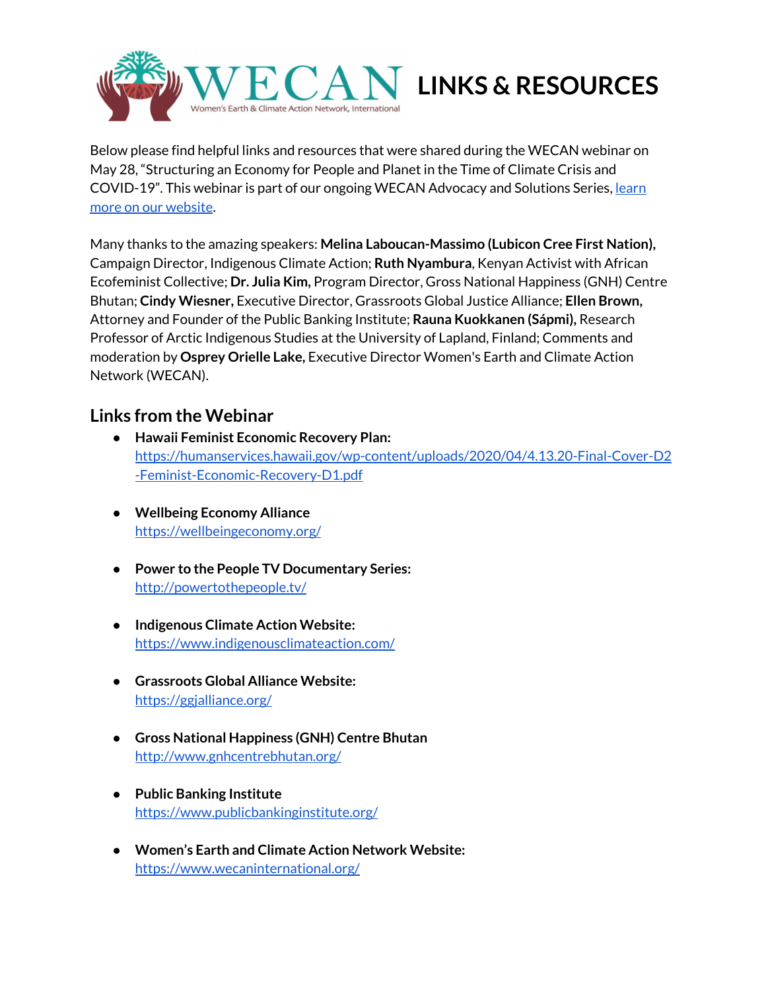

Below please find helpful links and resources that were shared during the WECAN webinar on May 28, "Structuring an Economy for People and Planet in the Time of Climate Crisis and COVID-19". This webinar is part of our ongoing WECAN Advocacy and Solutions Series, [learn](https://www.wecaninternational.org/) more on our [website](https://www.wecaninternational.org/).

Many thanks to the amazing speakers: **Melina Laboucan-Massimo (Lubicon Cree First Nation),** Campaign Director, Indigenous Climate Action; **Ruth Nyambura**, Kenyan Activist with African Ecofeminist Collective; **Dr. Julia Kim,** Program Director, Gross National Happiness (GNH) Centre Bhutan; **Cindy Wiesner,** Executive Director, Grassroots Global Justice Alliance; **Ellen Brown,** Attorney and Founder of the Public Banking Institute; **Rauna Kuokkanen (Sápmi),** Research Professor of Arctic Indigenous Studies at the University of Lapland, Finland; Comments and moderation by **Osprey Orielle Lake,** Executive Director Women's Earth and Climate Action Network (WECAN).

# **Links from the Webinar**

- **● Hawaii Feminist Economic Recovery Plan:** [https://humanservices.hawaii.gov/wp-content/uploads/2020/04/4.13.20-Final-Cover-D2](https://humanservices.hawaii.gov/wp-content/uploads/2020/04/4.13.20-Final-Cover-D2-Feminist-Economic-Recovery-D1.pdf) [-Feminist-Economic-Recovery-D1.pdf](https://humanservices.hawaii.gov/wp-content/uploads/2020/04/4.13.20-Final-Cover-D2-Feminist-Economic-Recovery-D1.pdf)
- **● Wellbeing Economy Alliance** <https://wellbeingeconomy.org/>
- **Power to the People TV Documentary Series:** <http://powertothepeople.tv/>
- **● Indigenous Climate Action Website:** <https://www.indigenousclimateaction.com/>
- **● Grassroots Global Alliance Website:** <https://ggjalliance.org/>
- **● Gross National Happiness (GNH) Centre Bhutan** <http://www.gnhcentrebhutan.org/>
- **● Public Banking Institute** <https://www.publicbankinginstitute.org/>
- **● Women's Earth and Climate Action Network Website:** <https://www.wecaninternational.org/>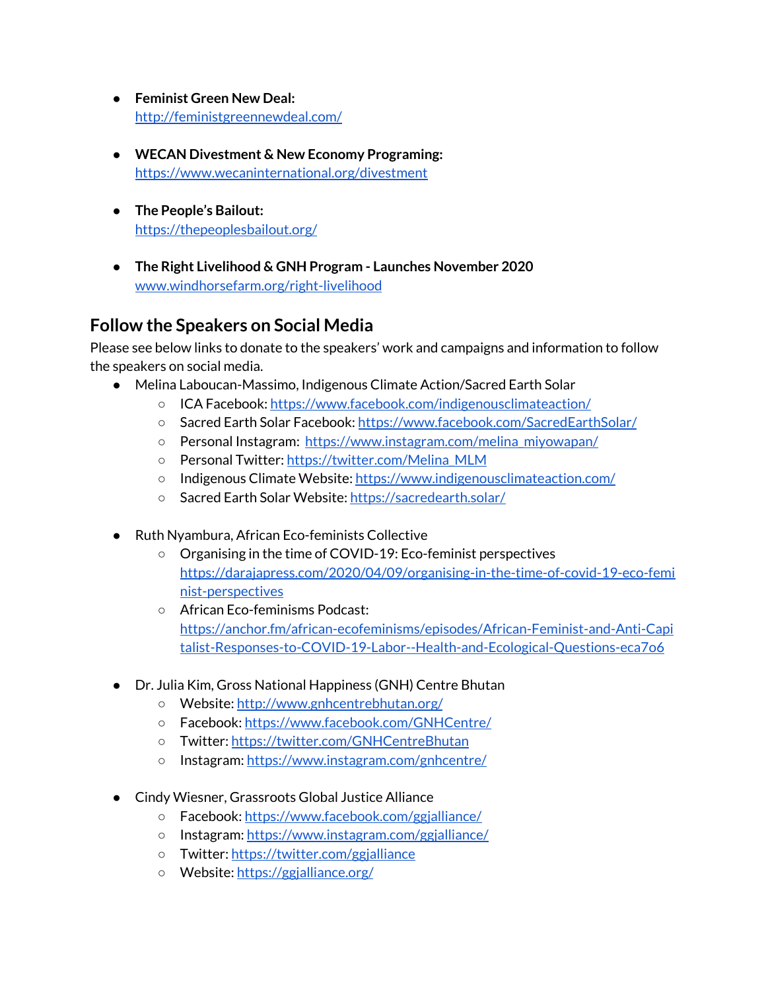- **● Feminist Green New Deal:** <http://feministgreennewdeal.com/>
- **● WECAN Divestment & New Economy Programing:** <https://www.wecaninternational.org/divestment>
- **● The People's Bailout:** <https://thepeoplesbailout.org/>
- **● The Right Livelihood & GNH Program - Launches November 2020** [www.windhorsefarm.org/right-livelihood](http://www.windhorsefarm.org/right-livelihood)

# **Follow the Speakers on Social Media**

Please see below links to donate to the speakers' work and campaigns and information to follow the speakers on social media.

- Melina Laboucan-Massimo, Indigenous Climate Action/Sacred Earth Solar
	- ICA Facebook: <https://www.facebook.com/indigenousclimateaction/>
	- Sacred Earth Solar Facebook: <https://www.facebook.com/SacredEarthSolar/>
	- Personal Instagram: [https://www.instagram.com/melina\\_miyowapan/](https://www.instagram.com/melina_miyowapan/)
	- o Personal Twitter: [https://twitter.com/Melina\\_MLM](https://twitter.com/Melina_MLM)
	- o Indigenous Climate Website: <https://www.indigenousclimateaction.com/>
	- Sacred Earth Solar Website: <https://sacredearth.solar/>
- Ruth Nyambura, African Eco-feminists Collective
	- Organising in the time of COVID-19: Eco-feminist perspectives [https://darajapress.com/2020/04/09/organising-in-the-time-of-covid-19-eco-femi](https://darajapress.com/2020/04/09/organising-in-the-time-of-covid-19-eco-feminist-perspectives) [nist-perspectives](https://darajapress.com/2020/04/09/organising-in-the-time-of-covid-19-eco-feminist-perspectives)
	- African Eco-feminisms Podcast: [https://anchor.fm/african-ecofeminisms/episodes/African-Feminist-and-Anti-Capi](https://anchor.fm/african-ecofeminisms/episodes/African-Feminist-and-Anti-Capitalist-Responses-to-COVID-19-Labor--Health-and-Ecological-Questions-eca7o6) [talist-Responses-to-COVID-19-Labor--Health-and-Ecological-Questions-eca7o6](https://anchor.fm/african-ecofeminisms/episodes/African-Feminist-and-Anti-Capitalist-Responses-to-COVID-19-Labor--Health-and-Ecological-Questions-eca7o6)
- Dr. Julia Kim, Gross National Happiness (GNH) Centre Bhutan
	- Website: <http://www.gnhcentrebhutan.org/>
	- Facebook: <https://www.facebook.com/GNHCentre/>
	- Twitter: <https://twitter.com/GNHCentreBhutan>
	- Instagram: <https://www.instagram.com/gnhcentre/>
- Cindy Wiesner, Grassroots Global Justice Alliance
	- Facebook: <https://www.facebook.com/ggjalliance/>
	- Instagram: <https://www.instagram.com/ggjalliance/>
	- Twitter: <https://twitter.com/ggjalliance>
	- Website: <https://ggjalliance.org/>